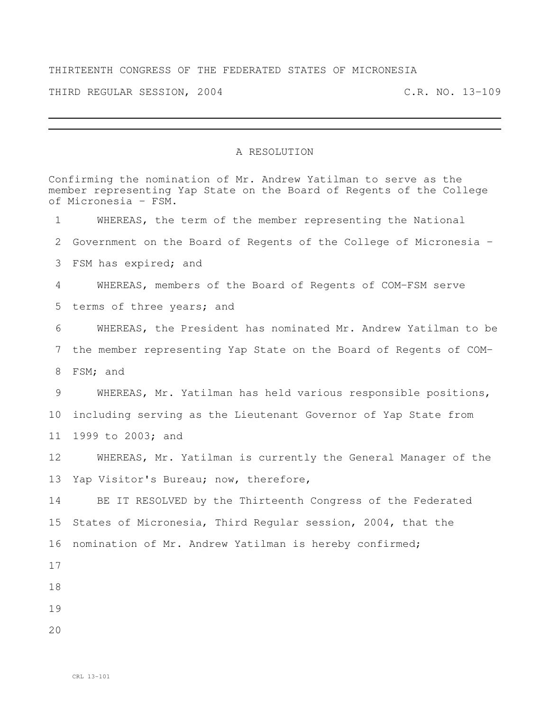## THIRTEENTH CONGRESS OF THE FEDERATED STATES OF MICRONESIA

THIRD REGULAR SESSION, 2004 C.R. NO. 13-109

## A RESOLUTION

Confirming the nomination of Mr. Andrew Yatilman to serve as the member representing Yap State on the Board of Regents of the College of Micronesia – FSM. WHEREAS, the term of the member representing the National Government on the Board of Regents of the College of Micronesia – FSM has expired; and WHEREAS, members of the Board of Regents of COM-FSM serve terms of three years; and WHEREAS, the President has nominated Mr. Andrew Yatilman to be the member representing Yap State on the Board of Regents of COM- FSM; and WHEREAS, Mr. Yatilman has held various responsible positions, including serving as the Lieutenant Governor of Yap State from 1999 to 2003; and WHEREAS, Mr. Yatilman is currently the General Manager of the Yap Visitor's Bureau; now, therefore, BE IT RESOLVED by the Thirteenth Congress of the Federated States of Micronesia, Third Regular session, 2004, that the nomination of Mr. Andrew Yatilman is hereby confirmed;